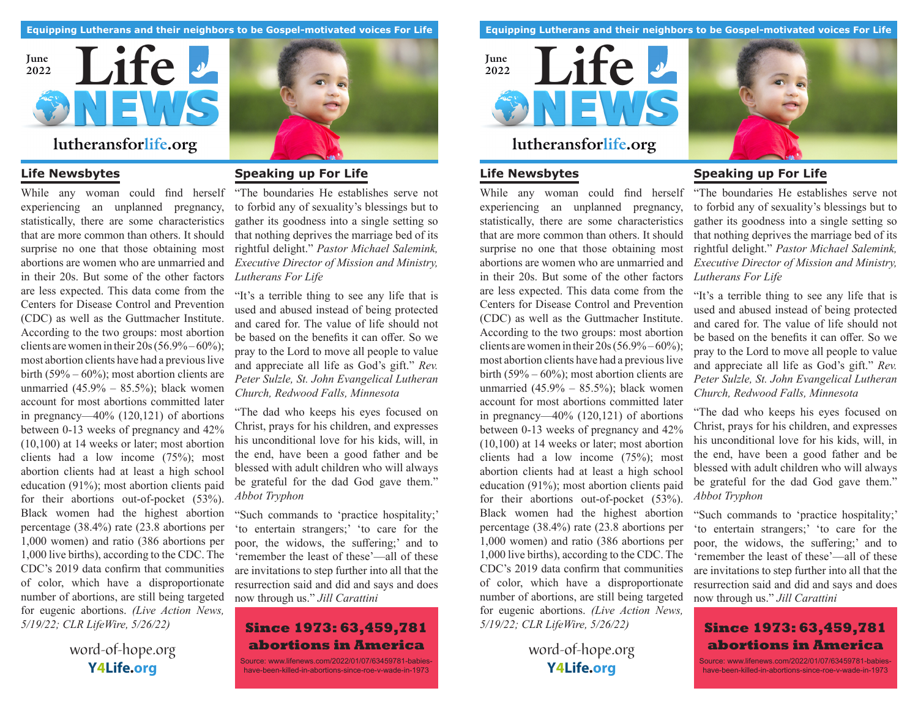### **Equipping Lutherans and their neighbors to be Gospel-motivated voices For Life**



# **[lutheransforlife.org](http://lutheransforlife.org)**

While any woman could find herself experiencing an unplanned pregnancy, statistically, there are some characteristics that are more common than others. It should surprise no one that those obtaining most abortions are women who are unmarried and in their 20s. But some of the other factors are less expected. This data come from the Centers for Disease Control and Prevention (CDC) as well as the Guttmacher Institute. According to the two groups: most abortion clients are women in their  $20s(56.9\% - 60\%);$ most abortion clients have had a previous live birth  $(59\% - 60\%)$ ; most abortion clients are unmarried  $(45.9\% - 85.5\%)$ ; black women account for most abortions committed later in pregnancy—40% (120,121) of abortions between 0-13 weeks of pregnancy and 42% (10,100) at 14 weeks or later; most abortion clients had a low income (75%); most abortion clients had at least a high school education (91%); most abortion clients paid for their abortions out-of-pocket (53%). Black women had the highest abortion percentage (38.4%) rate (23.8 abortions per 1,000 women) and ratio (386 abortions per 1,000 live births), according to the CDC. The CDC's 2019 data confirm that communities of color, which have a disproportionate number of abortions, are still being targeted for eugenic abortions. *(Live Action News, 5/19/22; CLR LifeWire, 5/26/22)*

> [word-of-hope.org](http://www.word-of-hope.org) **[Y4Life.org](http://Y4Life.org)**



## **Life Newsbytes Speaking up For Life**

"The boundaries He establishes serve not to forbid any of sexuality's blessings but to gather its goodness into a single setting so that nothing deprives the marriage bed of its rightful delight." *Pastor Michael Salemink, Executive Director of Mission and Ministry, Lutherans For Life*

"It's a terrible thing to see any life that is used and abused instead of being protected and cared for. The value of life should not be based on the benefits it can offer. So we pray to the Lord to move all people to value and appreciate all life as God's gift." *Rev. Peter Sulzle, St. John Evangelical Lutheran Church, Redwood Falls, Minnesota*

"The dad who keeps his eyes focused on Christ, prays for his children, and expresses his unconditional love for his kids, will, in the end, have been a good father and be blessed with adult children who will always be grateful for the dad God gave them." *Abbot Tryphon*

"Such commands to 'practice hospitality;' 'to entertain strangers;' 'to care for the poor, the widows, the suffering;' and to 'remember the least of these'—all of these are invitations to step further into all that the resurrection said and did and says and does now through us." *Jill Carattini* 

## **Since 1973: 63,459,781 abortions in America**

Source: www.lifenews.com/2022/01/07/63459781-babieshave-been-killed-in-abortions-since-roe-v-wade-in-1973

### **Equipping Lutherans and their neighbors to be Gospel-motivated voices For Life**



While any woman could find herself experiencing an unplanned pregnancy, statistically, there are some characteristics that are more common than others. It should surprise no one that those obtaining most abortions are women who are unmarried and in their 20s. But some of the other factors are less expected. This data come from the Centers for Disease Control and Prevention (CDC) as well as the Guttmacher Institute. According to the two groups: most abortion clients are women in their  $20s(56.9\% - 60\%);$ most abortion clients have had a previous live birth (59% – 60%); most abortion clients are unmarried  $(45.9\% - 85.5\%)$ ; black women account for most abortions committed later in pregnancy—40% (120,121) of abortions between 0-13 weeks of pregnancy and 42% (10,100) at 14 weeks or later; most abortion clients had a low income (75%); most abortion clients had at least a high school education (91%); most abortion clients paid for their abortions out-of-pocket (53%). Black women had the highest abortion percentage (38.4%) rate (23.8 abortions per 1,000 women) and ratio (386 abortions per 1,000 live births), according to the CDC. The CDC's 2019 data confirm that communities of color, which have a disproportionate number of abortions, are still being targeted for eugenic abortions. *(Live Action News, 5/19/22; CLR LifeWire, 5/26/22)*

> [word-of-hope.org](http://www.word-of-hope.org) **Y4Life.org**



## **Life Newsbytes Speaking up For Life**

"The boundaries He establishes serve not to forbid any of sexuality's blessings but to gather its goodness into a single setting so that nothing deprives the marriage bed of its rightful delight." *Pastor Michael Salemink, Executive Director of Mission and Ministry, Lutherans For Life*

"It's a terrible thing to see any life that is used and abused instead of being protected and cared for. The value of life should not be based on the benefits it can offer. So we pray to the Lord to move all people to value and appreciate all life as God's gift." *Rev. Peter Sulzle, St. John Evangelical Lutheran Church, Redwood Falls, Minnesota*

"The dad who keeps his eyes focused on Christ, prays for his children, and expresses his unconditional love for his kids, will, in the end, have been a good father and be blessed with adult children who will always be grateful for the dad God gave them." *Abbot Tryphon*

"Such commands to 'practice hospitality;' 'to entertain strangers;' 'to care for the poor, the widows, the suffering;' and to 'remember the least of these'—all of these are invitations to step further into all that the resurrection said and did and says and does now through us." *Jill Carattini* 

## **Since 1973: 63,459,781 abortions in America**

Source: www.lifenews.com/2022/01/07/63459781-babieshave-been-killed-in-abortions-since-roe-v-wade-in-1973